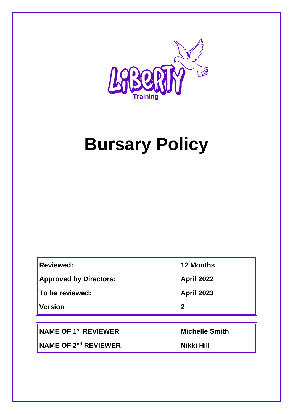

# **Bursary Policy**

| <b>Reviewed:</b>              | <b>12 Months</b>  |
|-------------------------------|-------------------|
| <b>Approved by Directors:</b> | <b>April 2022</b> |
| To be reviewed:               | <b>April 2023</b> |
| <b>Version</b>                | $\mathbf 2$       |

**NAME OF 1st REVIEWER Michelle Smith**

**NAME OF 2<sup>nd</sup> REVIEWER Nikki Hill**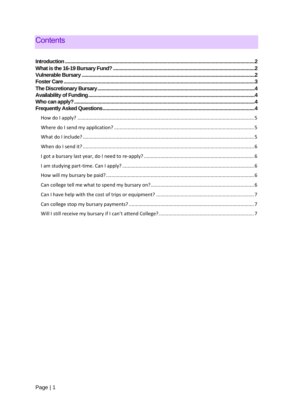## **Contents**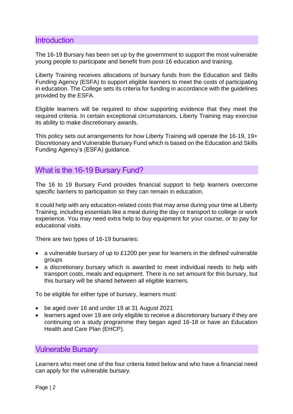### <span id="page-2-0"></span>**Introduction**

The 16-19 Bursary has been set up by the government to support the most vulnerable young people to participate and benefit from post-16 education and training.

Liberty Training receives allocations of bursary funds from the Education and Skills Funding Agency (ESFA) to support eligible learners to meet the costs of participating in education. The College sets its criteria for funding in accordance with the guidelines provided by the ESFA.

Eligible learners will be required to show supporting evidence that they meet the required criteria. In certain exceptional circumstances, Liberty Training may exercise its ability to make discretionary awards.

This policy sets out arrangements for how Liberty Training will operate the 16-19, 19+ Discretionary and Vulnerable Bursary Fund which is based on the Education and Skills Funding Agency's (ESFA) guidance.

## <span id="page-2-1"></span>What is the 16-19 Bursary Fund?

The 16 to 19 Bursary Fund provides financial support to help learners overcome specific barriers to participation so they can remain in education.

It could help with any education-related costs that may arise during your time at Liberty Training, including essentials like a meal during the day or transport to college or work experience. You may need extra help to buy equipment for your course, or to pay for educational visits.

There are two types of 16-19 bursaries:

- a vulnerable bursary of up to £1200 per year for learners in the defined vulnerable groups
- a discretionary bursary which is awarded to meet individual needs to help with transport costs, meals and equipment. There is no set amount for this bursary, but this bursary will be shared between all eligible learners.

To be eligible for either type of bursary, learners must:

- be aged over 16 and under 19 at 31 August 2021
- learners aged over 19 are only eligible to receive a discretionary bursary if they are continuing on a study programme they began aged 16-18 or have an Education Health and Care Plan (EHCP).

## <span id="page-2-2"></span>Vulnerable Bursary

Learners who meet one of the four criteria listed below and who have a financial need can apply for the vulnerable bursary.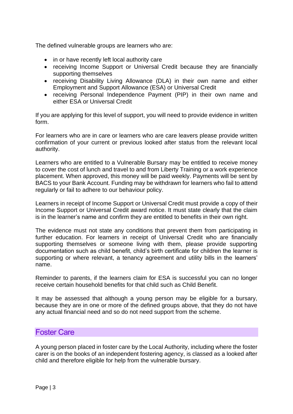The defined vulnerable groups are learners who are:

- in or have recently left local authority care
- receiving Income Support or Universal Credit because they are financially supporting themselves
- receiving Disability Living Allowance (DLA) in their own name and either Employment and Support Allowance (ESA) or Universal Credit
- receiving Personal Independence Payment (PIP) in their own name and either ESA or Universal Credit

If you are applying for this level of support, you will need to provide evidence in written form.

For learners who are in care or learners who are care leavers please provide written confirmation of your current or previous looked after status from the relevant local authority.

Learners who are entitled to a Vulnerable Bursary may be entitled to receive money to cover the cost of lunch and travel to and from Liberty Training or a work experience placement. When approved, this money will be paid weekly. Payments will be sent by BACS to your Bank Account. Funding may be withdrawn for learners who fail to attend regularly or fail to adhere to our behaviour policy.

Learners in receipt of Income Support or Universal Credit must provide a copy of their Income Support or Universal Credit award notice. It must state clearly that the claim is in the learner's name and confirm they are entitled to benefits in their own right.

The evidence must not state any conditions that prevent them from participating in further education. For learners in receipt of Universal Credit who are financially supporting themselves or someone living with them, please provide supporting documentation such as child benefit, child's birth certificate for children the learner is supporting or where relevant, a tenancy agreement and utility bills in the learners' name.

Reminder to parents, if the learners claim for ESA is successful you can no longer receive certain household benefits for that child such as Child Benefit.

It may be assessed that although a young person may be eligible for a bursary, because they are in one or more of the defined groups above, that they do not have any actual financial need and so do not need support from the scheme.

## <span id="page-3-0"></span>Foster Care

A young person placed in foster care by the Local Authority, including where the foster carer is on the books of an independent fostering agency, is classed as a looked after child and therefore eligible for help from the vulnerable bursary.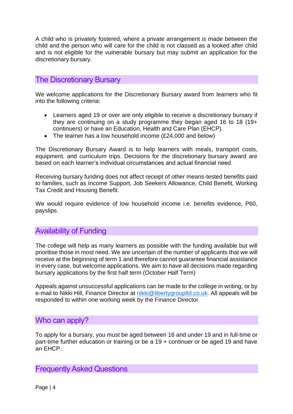A child who is privately fostered, where a private arrangement is made between the child and the person who will care for the child is not classed as a looked after child and is not eligible for the vulnerable bursary but may submit an application for the discretionary bursary.

## <span id="page-4-0"></span>The Discretionary Bursary

We welcome applications for the Discretionary Bursary award from learners who fit into the following criteria:

- Learners aged 19 or over are only eligible to receive a discretionary bursary if they are continuing on a study programme they began aged 16 to 18 (19+ continuers) or have an Education, Health and Care Plan (EHCP).
- The learner has a low household income (£24,000 and below)

The Discretionary Bursary Award is to help learners with meals, transport costs, equipment, and curriculum trips. Decisions for the discretionary bursary award are based on each learner's individual circumstances and actual financial need.

Receiving bursary funding does not affect receipt of other means-tested benefits paid to families, such as Income Support, Job Seekers Allowance, Child Benefit, Working Tax Credit and Housing Benefit.

We would require evidence of low household income i.e. benefits evidence, P60, payslips.

## <span id="page-4-1"></span>Availability of Funding

The college will help as many learners as possible with the funding available but will prioritise those in most need. We are uncertain of the number of applicants that we will receive at the beginning of term 1 and therefore cannot guarantee financial assistance in every case, but welcome applications. We aim to have all decisions made regarding bursary applications by the first half term (October Half Term)

Appeals against unsuccessful applications can be made to the college in writing, or by e-mail to Nikki Hill, Finance Director at [nikki@libertygroupltd.co.uk.](mailto:nikki@libertygroupltd.co.uk) All appeals will be responded to within one working week by the Finance Director.

## <span id="page-4-2"></span>Who can apply?

To apply for a bursary, you must be aged between 16 and under 19 and in full-time or part-time further education or training or be a 19 + continuer or be aged 19 and have an EHCP.

## <span id="page-4-3"></span>Frequently Asked Questions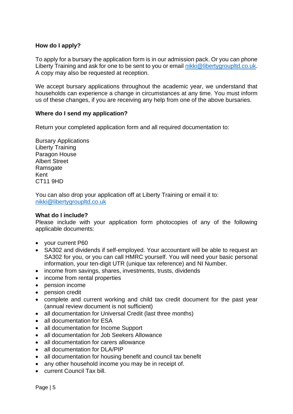#### <span id="page-5-0"></span>**How do I apply?**

To apply for a bursary the application form is in our admission pack. Or you can phone Liberty Training and ask for one to be sent to you or email [nikki@libertygroupltd.co.uk.](mailto:nikki@libertygroupltd.co.uk) A copy may also be requested at reception.

We accept bursary applications throughout the academic year, we understand that households can experience a change in circumstances at any time. You must inform us of these changes, if you are receiving any help from one of the above bursaries.

#### <span id="page-5-1"></span>**Where do I send my application?**

Return your completed application form and all required documentation to:

Bursary Applications Liberty Training Paragon House Albert Street **Ramsgate** Kent CT11 9HD

You can also drop your application off at Liberty Training or email it to: [nikki@libertygroupltd.co.uk](mailto:nikki@libertygroupltd.co.uk)

#### <span id="page-5-2"></span>**What do I include?**

Please include with your application form photocopies of any of the following applicable documents:

- your current P60
- SA302 and dividends if self-employed. Your accountant will be able to request an SA302 for you, or you can call HMRC yourself. You will need your basic personal information, your ten-digit UTR (unique tax reference) and NI Number.
- income from savings, shares, investments, trusts, dividends
- income from rental properties
- pension income
- pension credit
- complete and current working and child tax credit document for the past year (annual review document is not sufficient)
- all documentation for Universal Credit (last three months)
- all documentation for ESA
- all documentation for Income Support
- all documentation for Job Seekers Allowance
- all documentation for carers allowance
- all documentation for DLA/PIP
- all documentation for housing benefit and council tax benefit
- any other household income you may be in receipt of.
- current Council Tax bill.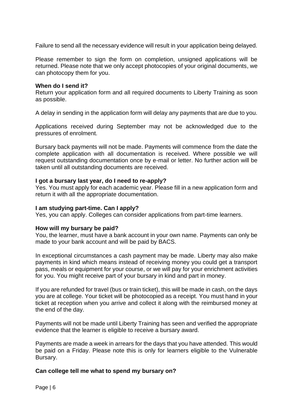Failure to send all the necessary evidence will result in your application being delayed.

Please remember to sign the form on completion, unsigned applications will be returned. Please note that we only accept photocopies of your original documents, we can photocopy them for you.

#### <span id="page-6-0"></span>**When do I send it?**

Return your application form and all required documents to Liberty Training as soon as possible.

A delay in sending in the application form will delay any payments that are due to you.

Applications received during September may not be acknowledged due to the pressures of enrolment.

Bursary back payments will not be made. Payments will commence from the date the complete application with all documentation is received. Where possible we will request outstanding documentation once by e-mail or letter. No further action will be taken until all outstanding documents are received.

#### <span id="page-6-1"></span>**I got a bursary last year, do I need to re-apply?**

Yes. You must apply for each academic year. Please fill in a new application form and return it with all the appropriate documentation.

#### <span id="page-6-2"></span>**I am studying part-time. Can I apply?**

Yes, you can apply. Colleges can consider applications from part-time learners.

#### <span id="page-6-3"></span>**How will my bursary be paid?**

You, the learner, must have a bank account in your own name. Payments can only be made to your bank account and will be paid by BACS.

In exceptional circumstances a cash payment may be made. Liberty may also make payments in kind which means instead of receiving money you could get a transport pass, meals or equipment for your course, or we will pay for your enrichment activities for you. You might receive part of your bursary in kind and part in money.

If you are refunded for travel (bus or train ticket), this will be made in cash, on the days you are at college. Your ticket will be photocopied as a receipt. You must hand in your ticket at reception when you arrive and collect it along with the reimbursed money at the end of the day.

Payments will not be made until Liberty Training has seen and verified the appropriate evidence that the learner is eligible to receive a bursary award.

Payments are made a week in arrears for the days that you have attended. This would be paid on a Friday. Please note this is only for learners eligible to the Vulnerable Bursary.

#### <span id="page-6-4"></span>**Can college tell me what to spend my bursary on?**